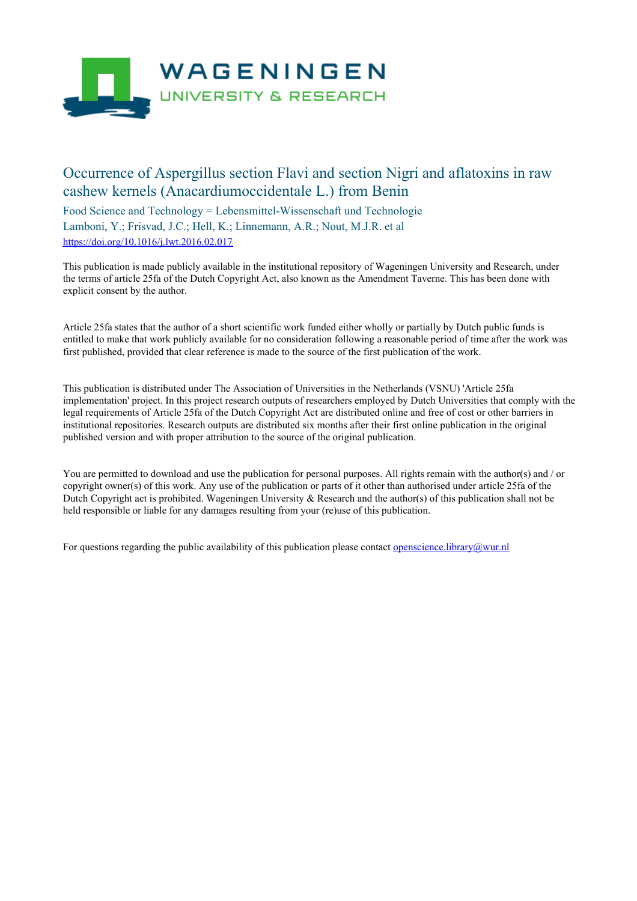

# Occurrence of Aspergillus section Flavi and section Nigri and aflatoxins in raw cashew kernels (Anacardiumoccidentale L.) from Benin

Food Science and Technology = Lebensmittel-Wissenschaft und Technologie Lamboni, Y.; Frisvad, J.C.; Hell, K.; Linnemann, A.R.; Nout, M.J.R. et al <https://doi.org/10.1016/j.lwt.2016.02.017>

This publication is made publicly available in the institutional repository of Wageningen University and Research, under the terms of article 25fa of the Dutch Copyright Act, also known as the Amendment Taverne. This has been done with explicit consent by the author.

Article 25fa states that the author of a short scientific work funded either wholly or partially by Dutch public funds is entitled to make that work publicly available for no consideration following a reasonable period of time after the work was first published, provided that clear reference is made to the source of the first publication of the work.

This publication is distributed under The Association of Universities in the Netherlands (VSNU) 'Article 25fa implementation' project. In this project research outputs of researchers employed by Dutch Universities that comply with the legal requirements of Article 25fa of the Dutch Copyright Act are distributed online and free of cost or other barriers in institutional repositories. Research outputs are distributed six months after their first online publication in the original published version and with proper attribution to the source of the original publication.

You are permitted to download and use the publication for personal purposes. All rights remain with the author(s) and / or copyright owner(s) of this work. Any use of the publication or parts of it other than authorised under article 25fa of the Dutch Copyright act is prohibited. Wageningen University & Research and the author(s) of this publication shall not be held responsible or liable for any damages resulting from your (re)use of this publication.

For questions regarding the public availability of this publication please contact [openscience.library@wur.nl](mailto:openscience.library@wur.nl)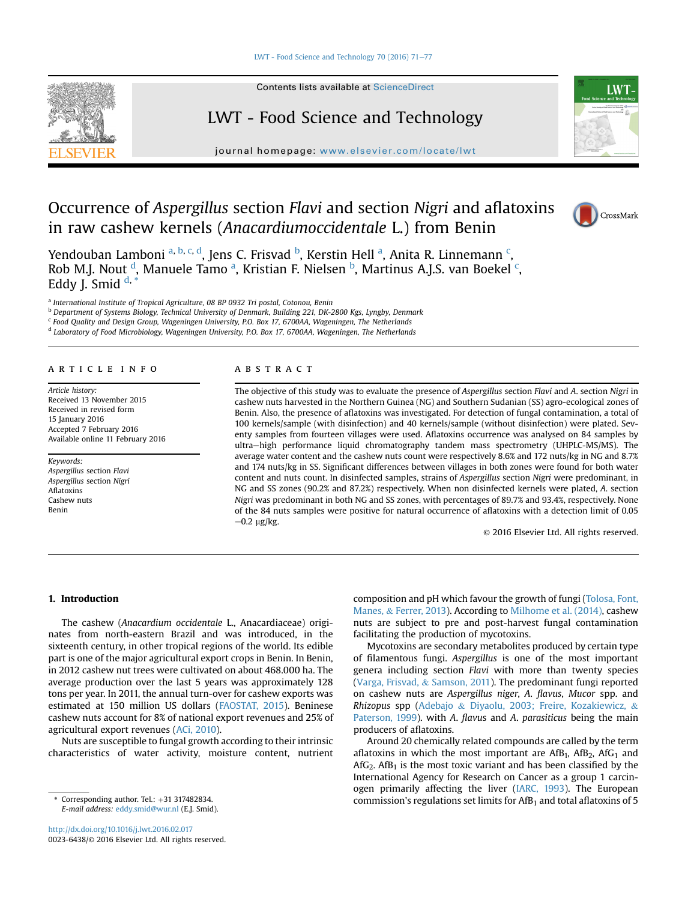### LWT - Food Science and Technology 70 (2016)  $71-77$  $71-77$



Contents lists available at ScienceDirect

# LWT - Food Science and Technology

journal homepage: [www.elsevier.com/locate/lwt](http://www.elsevier.com/locate/lwt)



# Occurrence of Aspergillus section Flavi and section Nigri and aflatoxins in raw cashew kernels (Anacardiumoccidentale L.) from Benin



Yendouban Lamboni <sup>a, b, c, d</sup>, Jens C. Frisvad <sup>b</sup>, Kerstin Hell <sup>a</sup>, Anita R. Linnemann <sup>c</sup>, Rob M.J. Nout <sup>d</sup>, Manuele Tamo <sup>a</sup>, Kristian F. Nielsen <sup>b</sup>, Martinus A.J.S. van Boekel <sup>c</sup>, Eddy J. Smid <sup>d, \*</sup>

<sup>a</sup> International Institute of Tropical Agriculture, 08 BP 0932 Tri postal, Cotonou, Benin

<sup>b</sup> Department of Systems Biology, Technical University of Denmark, Building 221, DK-2800 Kgs, Lyngby, Denmark

<sup>c</sup> Food Quality and Design Group, Wageningen University, P.O. Box 17, 6700AA, Wageningen, The Netherlands

<sup>d</sup> Laboratory of Food Microbiology, Wageningen University, P.O. Box 17, 6700AA, Wageningen, The Netherlands

## article info

Article history: Received 13 November 2015 Received in revised form 15 January 2016 Accepted 7 February 2016 Available online 11 February 2016

Keywords: Aspergillus section Flavi Aspergillus section Nigri Aflatoxins Cashew nuts Benin

## ABSTRACT

The objective of this study was to evaluate the presence of Aspergillus section Flavi and A. section Nigri in cashew nuts harvested in the Northern Guinea (NG) and Southern Sudanian (SS) agro-ecological zones of Benin. Also, the presence of aflatoxins was investigated. For detection of fungal contamination, a total of 100 kernels/sample (with disinfection) and 40 kernels/sample (without disinfection) were plated. Seventy samples from fourteen villages were used. Aflatoxins occurrence was analysed on 84 samples by ultra-high performance liquid chromatography tandem mass spectrometry (UHPLC-MS/MS). The average water content and the cashew nuts count were respectively 8.6% and 172 nuts/kg in NG and 8.7% and 174 nuts/kg in SS. Significant differences between villages in both zones were found for both water content and nuts count. In disinfected samples, strains of Aspergillus section Nigri were predominant, in NG and SS zones (90.2% and 87.2%) respectively. When non disinfected kernels were plated, A. section Nigri was predominant in both NG and SS zones, with percentages of 89.7% and 93.4%, respectively. None of the 84 nuts samples were positive for natural occurrence of aflatoxins with a detection limit of 0.05  $-0.2$  µg/kg.

© 2016 Elsevier Ltd. All rights reserved.

# 1. Introduction

The cashew (Anacardium occidentale L., Anacardiaceae) originates from north-eastern Brazil and was introduced, in the sixteenth century, in other tropical regions of the world. Its edible part is one of the major agricultural export crops in Benin. In Benin, in 2012 cashew nut trees were cultivated on about 468.000 ha. The average production over the last 5 years was approximately 128 tons per year. In 2011, the annual turn-over for cashew exports was estimated at 150 million US dollars [\(FAOSTAT, 2015](#page-7-0)). Beninese cashew nuts account for 8% of national export revenues and 25% of agricultural export revenues [\(ACi, 2010](#page-7-0)).

Nuts are susceptible to fungal growth according to their intrinsic characteristics of water activity, moisture content, nutrient

E-mail address: [eddy.smid@wur.nl](mailto:eddy.smid@wur.nl) (E.J. Smid).

composition and pH which favour the growth of fungi ([Tolosa, Font,](#page-7-0) [Manes,](#page-7-0) & [Ferrer, 2013](#page-7-0)). According to [Milhome et al. \(2014\),](#page-7-0) cashew nuts are subject to pre and post-harvest fungal contamination facilitating the production of mycotoxins.

Mycotoxins are secondary metabolites produced by certain type of filamentous fungi. Aspergillus is one of the most important genera including section Flavi with more than twenty species ([Varga, Frisvad,](#page-7-0) & [Samson, 2011](#page-7-0)). The predominant fungi reported on cashew nuts are Aspergillus niger, A. flavus, Mucor spp. and Rhizopus spp [\(Adebajo](#page-7-0) & [Diyaolu, 2003; Freire, Kozakiewicz,](#page-7-0) & [Paterson, 1999](#page-7-0)). with A. flavus and A. parasiticus being the main producers of aflatoxins.

Around 20 chemically related compounds are called by the term aflatoxins in which the most important are  $Aff<sub>1</sub>$ ,  $Aff<sub>2</sub>$ ,  $Aff<sub>1</sub>$  and  $A f G<sub>2</sub>$ . AfB<sub>1</sub> is the most toxic variant and has been classified by the International Agency for Research on Cancer as a group 1 carcinogen primarily affecting the liver ([IARC, 1993\)](#page-7-0). The European  $\alpha$  Corresponding author. Tel.: +31 317482834.  $\alpha$  commission's regulations set limits for AfB<sub>1</sub> and total aflatoxins of 5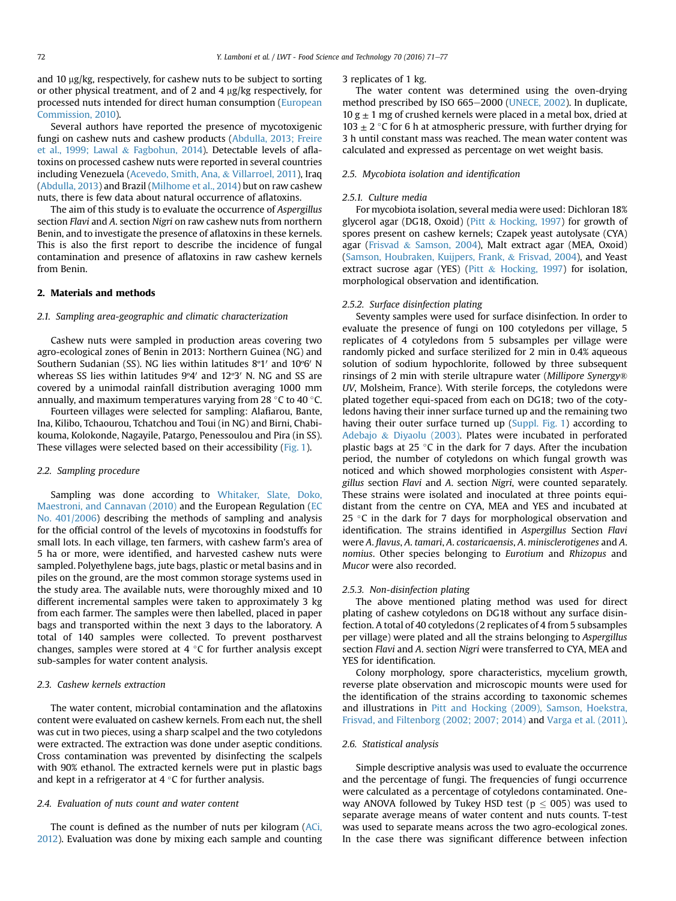and 10 µg/kg, respectively, for cashew nuts to be subject to sorting or other physical treatment, and of 2 and 4 mg/kg respectively, for processed nuts intended for direct human consumption ([European](#page-7-0) [Commission, 2010\)](#page-7-0).

Several authors have reported the presence of mycotoxigenic fungi on cashew nuts and cashew products ([Abdulla, 2013; Freire](#page-6-0) [et al., 1999; Lawal](#page-6-0) & [Fagbohun, 2014](#page-6-0)). Detectable levels of aflatoxins on processed cashew nuts were reported in several countries including Venezuela ([Acevedo, Smith, Ana,](#page-6-0) & [Villarroel, 2011\)](#page-6-0), Iraq ([Abdulla, 2013\)](#page-6-0) and Brazil ([Milhome et al., 2014](#page-7-0)) but on raw cashew nuts, there is few data about natural occurrence of aflatoxins.

The aim of this study is to evaluate the occurrence of Aspergillus section Flavi and A. section Nigri on raw cashew nuts from northern Benin, and to investigate the presence of aflatoxins in these kernels. This is also the first report to describe the incidence of fungal contamination and presence of aflatoxins in raw cashew kernels from Benin.

# 2. Materials and methods

#### 2.1. Sampling area-geographic and climatic characterization

Cashew nuts were sampled in production areas covering two agro-ecological zones of Benin in 2013: Northern Guinea (NG) and Southern Sudanian (SS). NG lies within latitudes  $8°1'$  and  $10°6'$  N whereas SS lies within latitudes 9°4' and 12°3' N. NG and SS are covered by a unimodal rainfall distribution averaging 1000 mm annually, and maximum temperatures varying from 28 °C to 40 °C.

Fourteen villages were selected for sampling: Alafiarou, Bante, Ina, Kilibo, Tchaourou, Tchatchou and Toui (in NG) and Birni, Chabikouma, Kolokonde, Nagayile, Patargo, Penessoulou and Pira (in SS). These villages were selected based on their accessibility [\(Fig. 1\)](#page-3-0).

## 2.2. Sampling procedure

Sampling was done according to [Whitaker, Slate, Doko,](#page-7-0) [Maestroni, and Cannavan \(2010\)](#page-7-0) and the European Regulation [\(EC](#page-7-0) [No. 401/2006](#page-7-0)) describing the methods of sampling and analysis for the official control of the levels of mycotoxins in foodstuffs for small lots. In each village, ten farmers, with cashew farm's area of 5 ha or more, were identified, and harvested cashew nuts were sampled. Polyethylene bags, jute bags, plastic or metal basins and in piles on the ground, are the most common storage systems used in the study area. The available nuts, were thoroughly mixed and 10 different incremental samples were taken to approximately 3 kg from each farmer. The samples were then labelled, placed in paper bags and transported within the next 3 days to the laboratory. A total of 140 samples were collected. To prevent postharvest changes, samples were stored at 4  $\degree$ C for further analysis except sub-samples for water content analysis.

## 2.3. Cashew kernels extraction

The water content, microbial contamination and the aflatoxins content were evaluated on cashew kernels. From each nut, the shell was cut in two pieces, using a sharp scalpel and the two cotyledons were extracted. The extraction was done under aseptic conditions. Cross contamination was prevented by disinfecting the scalpels with 90% ethanol. The extracted kernels were put in plastic bags and kept in a refrigerator at 4  $\rm{^{\circ}C}$  for further analysis.

## 2.4. Evaluation of nuts count and water content

The count is defined as the number of nuts per kilogram [\(ACi,](#page-7-0) [2012](#page-7-0)). Evaluation was done by mixing each sample and counting

#### 3 replicates of 1 kg.

The water content was determined using the oven-drying method prescribed by ISO 665-2000 ([UNECE, 2002\)](#page-7-0). In duplicate, 10 g  $\pm$  1 mg of crushed kernels were placed in a metal box, dried at 103  $\pm$  2 °C for 6 h at atmospheric pressure, with further drying for 3 h until constant mass was reached. The mean water content was calculated and expressed as percentage on wet weight basis.

## 2.5. Mycobiota isolation and identification

## 2.5.1. Culture media

For mycobiota isolation, several media were used: Dichloran 18% glycerol agar (DG18, Oxoid) ([Pitt](#page-7-0) & [Hocking, 1997\)](#page-7-0) for growth of spores present on cashew kernels; Czapek yeast autolysate (CYA) agar [\(Frisvad](#page-7-0) & [Samson, 2004\)](#page-7-0), Malt extract agar (MEA, Oxoid) ([Samson, Houbraken, Kuijpers, Frank,](#page-7-0) & [Frisvad, 2004](#page-7-0)), and Yeast extract sucrose agar (YES) [\(Pitt](#page-7-0) & [Hocking, 1997](#page-7-0)) for isolation, morphological observation and identification.

## 2.5.2. Surface disinfection plating

Seventy samples were used for surface disinfection. In order to evaluate the presence of fungi on 100 cotyledons per village, 5 replicates of 4 cotyledons from 5 subsamples per village were randomly picked and surface sterilized for 2 min in 0.4% aqueous solution of sodium hypochlorite, followed by three subsequent rinsings of 2 min with sterile ultrapure water (Millipore Synergy® UV, Molsheim, France). With sterile forceps, the cotyledons were plated together equi-spaced from each on DG18; two of the cotyledons having their inner surface turned up and the remaining two having their outer surface turned up (Suppl. Fig. 1) according to [Adebajo](#page-7-0) & [Diyaolu \(2003\)](#page-7-0). Plates were incubated in perforated plastic bags at 25  $\degree$ C in the dark for 7 days. After the incubation period, the number of cotyledons on which fungal growth was noticed and which showed morphologies consistent with Aspergillus section Flavi and A. section Nigri, were counted separately. These strains were isolated and inoculated at three points equidistant from the centre on CYA, MEA and YES and incubated at 25  $\degree$ C in the dark for 7 days for morphological observation and identification. The strains identified in Aspergillus Section Flavi were A. flavus, A. tamari, A. costaricaensis, A. minisclerotigenes and A. nomius. Other species belonging to Eurotium and Rhizopus and Mucor were also recorded.

## 2.5.3. Non-disinfection plating

The above mentioned plating method was used for direct plating of cashew cotyledons on DG18 without any surface disinfection. A total of 40 cotyledons (2 replicates of 4 from 5 subsamples per village) were plated and all the strains belonging to Aspergillus section Flavi and A. section Nigri were transferred to CYA, MEA and YES for identification.

Colony morphology, spore characteristics, mycelium growth, reverse plate observation and microscopic mounts were used for the identification of the strains according to taxonomic schemes and illustrations in [Pitt and Hocking \(2009\), Samson, Hoekstra,](#page-7-0) [Frisvad, and Filtenborg \(2002; 2007; 2014\)](#page-7-0) and [Varga et al. \(2011\)](#page-7-0).

#### 2.6. Statistical analysis

Simple descriptive analysis was used to evaluate the occurrence and the percentage of fungi. The frequencies of fungi occurrence were calculated as a percentage of cotyledons contaminated. Oneway ANOVA followed by Tukey HSD test ( $p \le 005$ ) was used to separate average means of water content and nuts counts. T-test was used to separate means across the two agro-ecological zones. In the case there was significant difference between infection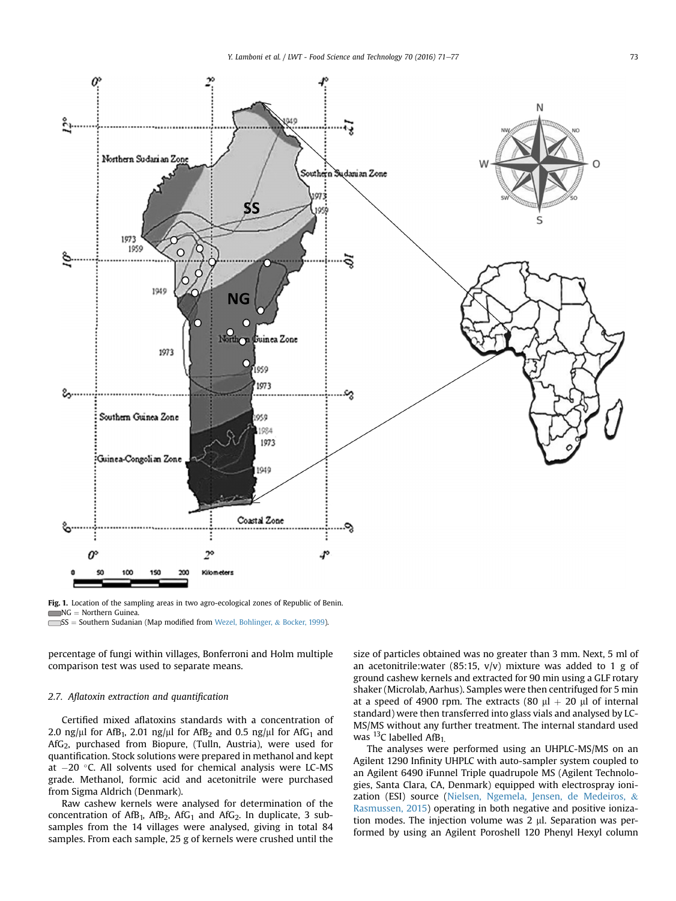<span id="page-3-0"></span>

Fig. 1. Location of the sampling areas in two agro-ecological zones of Republic of Benin.  $NG =$  Northern Guinea.

 $\Box$ SS = Southern Sudanian (Map modified from [Wezel, Bohlinger,](#page-7-0) & [Bocker, 1999](#page-7-0)).

percentage of fungi within villages, Bonferroni and Holm multiple comparison test was used to separate means.

# 2.7. Aflatoxin extraction and quantification

Certified mixed aflatoxins standards with a concentration of 2.0 ng/ $\mu$ l for AfB<sub>1</sub>, 2.01 ng/ $\mu$ l for AfB<sub>2</sub> and 0.5 ng/ $\mu$ l for AfG<sub>1</sub> and AfG2, purchased from Biopure, (Tulln, Austria), were used for quantification. Stock solutions were prepared in methanol and kept at  $-20$  °C. All solvents used for chemical analysis were LC-MS grade. Methanol, formic acid and acetonitrile were purchased from Sigma Aldrich (Denmark).

Raw cashew kernels were analysed for determination of the concentration of AfB<sub>1</sub>, AfB<sub>2</sub>, AfG<sub>1</sub> and AfG<sub>2</sub>. In duplicate, 3 subsamples from the 14 villages were analysed, giving in total 84 samples. From each sample, 25 g of kernels were crushed until the size of particles obtained was no greater than 3 mm. Next, 5 ml of an acetonitrile: water (85:15,  $v/v$ ) mixture was added to 1 g of ground cashew kernels and extracted for 90 min using a GLF rotary shaker (Microlab, Aarhus). Samples were then centrifuged for 5 min at a speed of 4900 rpm. The extracts (80  $\mu$ l + 20  $\mu$ l of internal standard) were then transferred into glass vials and analysed by LC-MS/MS without any further treatment. The internal standard used was  $^{13}$ C labelled AfB<sub>1</sub>.

The analyses were performed using an UHPLC-MS/MS on an Agilent 1290 Infinity UHPLC with auto-sampler system coupled to an Agilent 6490 iFunnel Triple quadrupole MS (Agilent Technologies, Santa Clara, CA, Denmark) equipped with electrospray ionization (ESI) source [\(Nielsen, Ngemela, Jensen, de Medeiros,](#page-7-0) & [Rasmussen, 2015](#page-7-0)) operating in both negative and positive ionization modes. The injection volume was  $2 \mu$ l. Separation was performed by using an Agilent Poroshell 120 Phenyl Hexyl column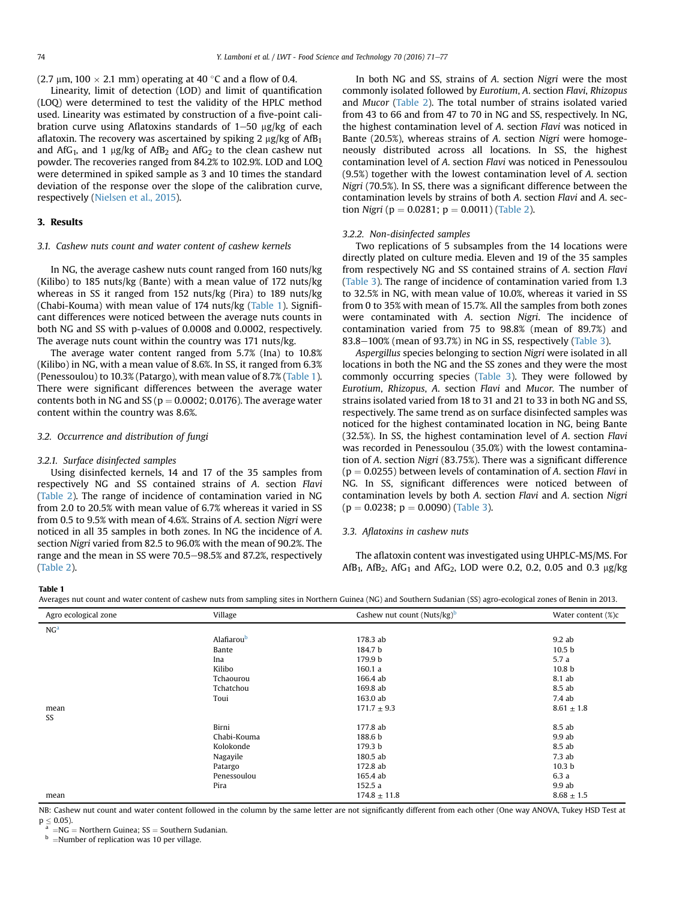(2.7  $\mu$ m, 100  $\times$  2.1 mm) operating at 40 °C and a flow of 0.4.

Linearity, limit of detection (LOD) and limit of quantification (LOQ) were determined to test the validity of the HPLC method used. Linearity was estimated by construction of a five-point calibration curve using Aflatoxins standards of  $1-50$  µg/kg of each aflatoxin. The recovery was ascertained by spiking 2  $\mu$ g/kg of AfB<sub>1</sub> and AfG<sub>1</sub>, and 1  $\mu$ g/kg of AfB<sub>2</sub> and AfG<sub>2</sub> to the clean cashew nut powder. The recoveries ranged from 84.2% to 102.9%. LOD and LOQ were determined in spiked sample as 3 and 10 times the standard deviation of the response over the slope of the calibration curve, respectively ([Nielsen et al., 2015\)](#page-7-0).

## 3. Results

## 3.1. Cashew nuts count and water content of cashew kernels

In NG, the average cashew nuts count ranged from 160 nuts/kg (Kilibo) to 185 nuts/kg (Bante) with a mean value of 172 nuts/kg whereas in SS it ranged from 152 nuts/kg (Pira) to 189 nuts/kg (Chabi-Kouma) with mean value of 174 nuts/kg (Table 1). Significant differences were noticed between the average nuts counts in both NG and SS with p-values of 0.0008 and 0.0002, respectively. The average nuts count within the country was 171 nuts/kg.

The average water content ranged from 5.7% (Ina) to 10.8% (Kilibo) in NG, with a mean value of 8.6%. In SS, it ranged from 6.3% (Penessoulou) to 10.3% (Patargo), with mean value of 8.7% (Table 1). There were significant differences between the average water contents both in NG and SS ( $p = 0.0002$ ; 0.0176). The average water content within the country was 8.6%.

#### 3.2. Occurrence and distribution of fungi

## 3.2.1. Surface disinfected samples

Using disinfected kernels, 14 and 17 of the 35 samples from respectively NG and SS contained strains of A. section Flavi ([Table 2\)](#page-5-0). The range of incidence of contamination varied in NG from 2.0 to 20.5% with mean value of 6.7% whereas it varied in SS from 0.5 to 9.5% with mean of 4.6%. Strains of A. section Nigri were noticed in all 35 samples in both zones. In NG the incidence of A. section Nigri varied from 82.5 to 96.0% with the mean of 90.2%. The range and the mean in SS were 70.5–98.5% and 87.2%, respectively ([Table 2\)](#page-5-0).

In both NG and SS, strains of A. section Nigri were the most commonly isolated followed by Eurotium, A. section Flavi, Rhizopus and Mucor [\(Table 2](#page-5-0)). The total number of strains isolated varied from 43 to 66 and from 47 to 70 in NG and SS, respectively. In NG, the highest contamination level of A. section Flavi was noticed in Bante (20.5%), whereas strains of A. section Nigri were homogeneously distributed across all locations. In SS, the highest contamination level of A. section Flavi was noticed in Penessoulou (9.5%) together with the lowest contamination level of A. section Nigri (70.5%). In SS, there was a significant difference between the contamination levels by strains of both A. section Flavi and A. section Nigri ( $p = 0.0281$ ;  $p = 0.0011$ ) ([Table 2\)](#page-5-0).

### 3.2.2. Non-disinfected samples

Two replications of 5 subsamples from the 14 locations were directly plated on culture media. Eleven and 19 of the 35 samples from respectively NG and SS contained strains of A. section Flavi ([Table 3\)](#page-5-0). The range of incidence of contamination varied from 1.3 to 32.5% in NG, with mean value of 10.0%, whereas it varied in SS from 0 to 35% with mean of 15.7%. All the samples from both zones were contaminated with A. section Nigri. The incidence of contamination varied from 75 to 98.8% (mean of 89.7%) and 83.8 $-100\%$  (mean of 93.7%) in NG in SS, respectively ([Table 3\)](#page-5-0).

Aspergillus species belonging to section Nigri were isolated in all locations in both the NG and the SS zones and they were the most commonly occurring species ([Table 3\)](#page-5-0). They were followed by Eurotium, Rhizopus, A. section Flavi and Mucor. The number of strains isolated varied from 18 to 31 and 21 to 33 in both NG and SS, respectively. The same trend as on surface disinfected samples was noticed for the highest contaminated location in NG, being Bante (32.5%). In SS, the highest contamination level of A. section Flavi was recorded in Penessoulou (35.0%) with the lowest contamination of A. section Nigri (83.75%). There was a significant difference  $(p = 0.0255)$  between levels of contamination of A. section Flavi in NG. In SS, significant differences were noticed between of contamination levels by both A. section Flavi and A. section Nigri  $(p = 0.0238; p = 0.0090)$  ([Table 3\)](#page-5-0).

## 3.3. Aflatoxins in cashew nuts

The aflatoxin content was investigated using UHPLC-MS/MS. For AfB<sub>1</sub>, AfB<sub>2</sub>, AfG<sub>1</sub> and AfG<sub>2</sub>, LOD were 0.2, 0.2, 0.05 and 0.3 µg/kg

#### Table 1

Averages nut count and water content of cashew nuts from sampling sites in Northern Guinea (NG) and Southern Sudanian (SS) agro-ecological zones of Benin in 2013.

| Agro ecological zone | Village                | Cashew nut count (Nuts/kg) $b$ | Water content $(\%)c$ |
|----------------------|------------------------|--------------------------------|-----------------------|
| NG <sup>a</sup>      |                        |                                |                       |
|                      | Alafiarou <sup>b</sup> | 178.3 ab                       | 9.2ab                 |
|                      | Bante                  | 184.7 b                        | 10.5 <sub>b</sub>     |
|                      | Ina                    | 179.9 b                        | 5.7a                  |
|                      | Kilibo                 | 160.1 a                        | 10.8 <sub>b</sub>     |
|                      | Tchaourou              | 166.4 ab                       | 8.1 ab                |
|                      | Tchatchou              | 169.8 ab                       | 8.5 ab                |
|                      | Toui                   | 163.0 ab                       | 7.4 ab                |
| mean                 |                        | $171.7 \pm 9.3$                | $8.61 \pm 1.8$        |
| SS                   |                        |                                |                       |
|                      | Birni                  | 177.8 ab                       | 8.5 ab                |
|                      | Chabi-Kouma            | 188.6 b                        | 9.9ab                 |
|                      | Kolokonde              | 179.3 b                        | 8.5 ab                |
|                      | Nagayile               | 180.5 ab                       | 7.3 ab                |
|                      | Patargo                | 172.8 ab                       | 10.3 <sub>b</sub>     |
|                      | Penessoulou            | 165.4 ab                       | 6.3a                  |
|                      | Pira                   | 152.5 a                        | 9.9ab                 |
| mean                 |                        | $174.8 \pm 11.8$               | $8.68 \pm 1.5$        |

NB: Cashew nut count and water content followed in the column by the same letter are not significantly different from each other (One way ANOVA, Tukey HSD Test at  $p \le 0.05$ ). <br><sup>a</sup> =NG = Northern Guinea; SS = Southern Sudanian.<br><sup>b</sup> =Number of replication was 10 per village.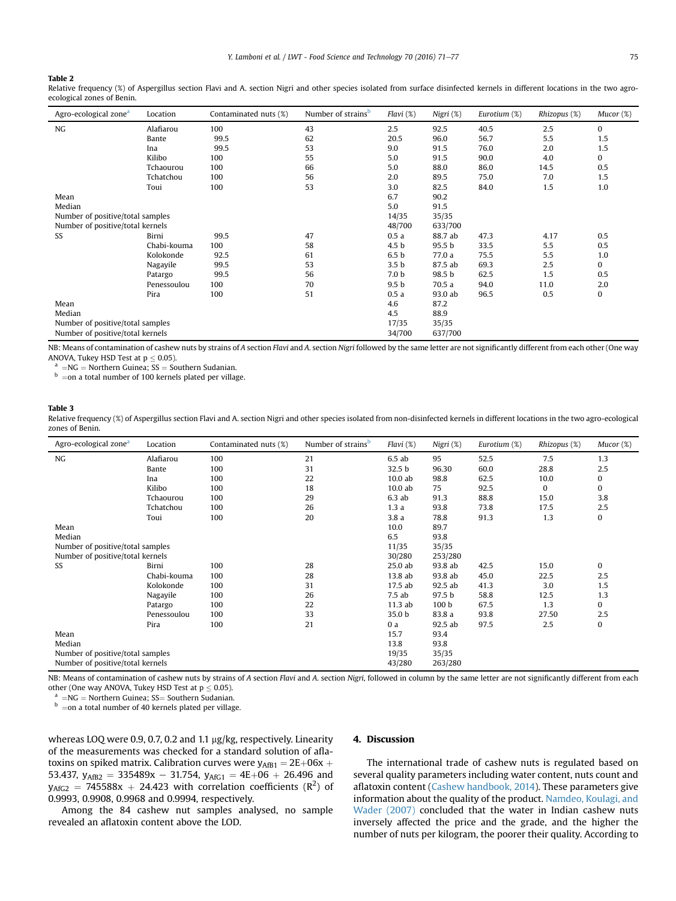#### <span id="page-5-0"></span>Table 2

Relative frequency (%) of Aspergillus section Flavi and A. section Nigri and other species isolated from surface disinfected kernels in different locations in the two agroecological zones of Benin.

| Agro-ecological zone <sup>a</sup> | Location    | Contaminated nuts (%) | Number of strains <sup>b</sup> | Flavi (%)        | Nigri (%) | Eurotium (%) | Rhizopus (%) | Mucor $(\%)$ |
|-----------------------------------|-------------|-----------------------|--------------------------------|------------------|-----------|--------------|--------------|--------------|
| NG                                | Alafiarou   | 100                   | 43                             | 2.5              | 92.5      | 40.5         | 2.5          | $\mathbf{0}$ |
|                                   | Bante       | 99.5                  | 62                             | 20.5             | 96.0      | 56.7         | 5.5          | 1.5          |
|                                   | Ina         | 99.5                  | 53                             | 9.0              | 91.5      | 76.0         | 2.0          | 1.5          |
|                                   | Kilibo      | 100                   | 55                             | 5.0              | 91.5      | 90.0         | 4.0          | 0            |
|                                   | Tchaourou   | 100                   | 66                             | 5.0              | 88.0      | 86.0         | 14.5         | 0.5          |
|                                   | Tchatchou   | 100                   | 56                             | 2.0              | 89.5      | 75.0         | 7.0          | 1.5          |
|                                   | Toui        | 100                   | 53                             | 3.0              | 82.5      | 84.0         | 1.5          | 1.0          |
| Mean                              |             |                       |                                | 6.7              | 90.2      |              |              |              |
| Median                            |             |                       |                                | 5.0              | 91.5      |              |              |              |
| Number of positive/total samples  |             |                       |                                | 14/35            | 35/35     |              |              |              |
| Number of positive/total kernels  |             |                       | 48/700                         | 633/700          |           |              |              |              |
| SS                                | Birni       | 99.5                  | 47                             | 0.5a             | 88.7 ab   | 47.3         | 4.17         | 0.5          |
|                                   | Chabi-kouma | 100                   | 58                             | 4.5 <sub>b</sub> | 95.5 b    | 33.5         | 5.5          | 0.5          |
|                                   | Kolokonde   | 92.5                  | 61                             | 6.5 <sub>b</sub> | 77.0 a    | 75.5         | 5.5          | 1.0          |
|                                   | Nagayile    | 99.5                  | 53                             | 3.5 <sub>b</sub> | 87.5 ab   | 69.3         | 2.5          | 0            |
|                                   | Patargo     | 99.5                  | 56                             | 7.0 <sub>b</sub> | 98.5 b    | 62.5         | 1.5          | 0.5          |
|                                   | Penessoulou | 100                   | 70                             | 9.5 <sub>b</sub> | 70.5a     | 94.0         | 11.0         | 2.0          |
|                                   | Pira        | 100                   | 51                             | 0.5a             | 93.0 ab   | 96.5         | 0.5          | 0            |
| Mean                              |             |                       |                                | 4.6              | 87.2      |              |              |              |
| Median                            |             |                       |                                | 4.5              | 88.9      |              |              |              |
| Number of positive/total samples  |             |                       | 17/35                          | 35/35            |           |              |              |              |
| Number of positive/total kernels  |             | 34/700                | 637/700                        |                  |           |              |              |              |

NB: Means of contamination of cashew nuts by strains of A section Flavi and A. section Nigri followed by the same letter are not significantly different from each other (One way ANOVA, Tukey HSD Test at  $p \le 0.05$ ).

<sup>a</sup> = NG = Northern Guinea; SS = Southern Sudanian. b = on a total number of 100 kernels plated per village.

### Table 3

Relative frequency (%) of Aspergillus section Flavi and A. section Nigri and other species isolated from non-disinfected kernels in different locations in the two agro-ecological zones of Benin.

| Agro-ecological zone <sup>a</sup> | Location    | Contaminated nuts (%) | Number of strains <sup>b</sup> | Flavi (%) | Nigri (%)        | Eurotium (%) | Rhizopus (%) | Mucor (%) |
|-----------------------------------|-------------|-----------------------|--------------------------------|-----------|------------------|--------------|--------------|-----------|
| NG                                | Alafiarou   | 100                   | 21                             | 6.5ab     | 95               | 52.5         | 7.5          | 1.3       |
|                                   | Bante       | 100                   | 31                             | 32.5 b    | 96.30            | 60.0         | 28.8         | 2.5       |
|                                   | Ina         | 100                   | 22                             | 10.0ab    | 98.8             | 62.5         | 10.0         | 0         |
|                                   | Kilibo      | 100                   | 18                             | 10.0ab    | 75               | 92.5         | $\Omega$     | 0         |
|                                   | Tchaourou   | 100                   | 29                             | 6.3ab     | 91.3             | 88.8         | 15.0         | 3.8       |
|                                   | Tchatchou   | 100                   | 26                             | 1.3a      | 93.8             | 73.8         | 17.5         | 2.5       |
|                                   | Toui        | 100                   | 20                             | 3.8a      | 78.8             | 91.3         | 1.3          | 0         |
| Mean                              |             |                       |                                | 10.0      | 89.7             |              |              |           |
| Median                            |             |                       |                                | 6.5       | 93.8             |              |              |           |
| Number of positive/total samples  |             |                       |                                | 11/35     | 35/35            |              |              |           |
| Number of positive/total kernels  |             |                       | 30/280                         | 253/280   |                  |              |              |           |
| SS                                | Birni       | 100                   | 28                             | 25.0ab    | 93.8 ab          | 42.5         | 15.0         | 0         |
|                                   | Chabi-kouma | 100                   | 28                             | 13.8 ab   | 93.8 ab          | 45.0         | 22.5         | 2.5       |
|                                   | Kolokonde   | 100                   | 31                             | 17.5ab    | 92.5 ab          | 41.3         | 3.0          | 1.5       |
|                                   | Nagayile    | 100                   | 26                             | 7.5ab     | 97.5 b           | 58.8         | 12.5         | 1.3       |
|                                   | Patargo     | 100                   | 22                             | 11.3 ab   | 100 <sub>b</sub> | 67.5         | 1.3          | 0         |
|                                   | Penessoulou | 100                   | 33                             | 35.0 b    | 83.8 a           | 93.8         | 27.50        | 2.5       |
|                                   | Pira        | 100                   | 21                             | 0a        | 92.5 ab          | 97.5         | 2.5          | 0         |
| Mean                              |             |                       |                                | 15.7      | 93.4             |              |              |           |
| Median                            |             |                       |                                | 13.8      | 93.8             |              |              |           |
| Number of positive/total samples  |             |                       |                                | 19/35     | 35/35            |              |              |           |
| Number of positive/total kernels  |             |                       | 43/280                         | 263/280   |                  |              |              |           |

NB: Means of contamination of cashew nuts by strains of A section Flavi and A. section Nigri, followed in column by the same letter are not significantly different from each other (One way ANOVA, Tukey HSD Test at  $p \le 0.$ 

<sup>a</sup> =NG = Northern Guinea; SS= Southern Sudanian.<br><sup>b</sup> =on a total number of 40 kernels plated per village.

whereas LOQ were 0.9, 0.7, 0.2 and 1.1 µg/kg, respectively. Linearity of the measurements was checked for a standard solution of aflatoxins on spiked matrix. Calibration curves were  $y_{\text{AfB1}} = 2E+06x +$ 53.437,  $y_{AIB2} = 335489x - 31.754$ ,  $y_{AIG1} = 4E+06 + 26.496$  and  $y_{\text{AfG2}} = 745588x + 24.423$  with correlation coefficients  $(R^2)$  of 0.9993, 0.9908, 0.9968 and 0.9994, respectively.

Among the 84 cashew nut samples analysed, no sample revealed an aflatoxin content above the LOD.

# 4. Discussion

The international trade of cashew nuts is regulated based on several quality parameters including water content, nuts count and aflatoxin content [\(Cashew handbook, 2014](#page-7-0)). These parameters give information about the quality of the product. [Namdeo, Koulagi, and](#page-7-0) [Wader \(2007\)](#page-7-0) concluded that the water in Indian cashew nuts inversely affected the price and the grade, and the higher the number of nuts per kilogram, the poorer their quality. According to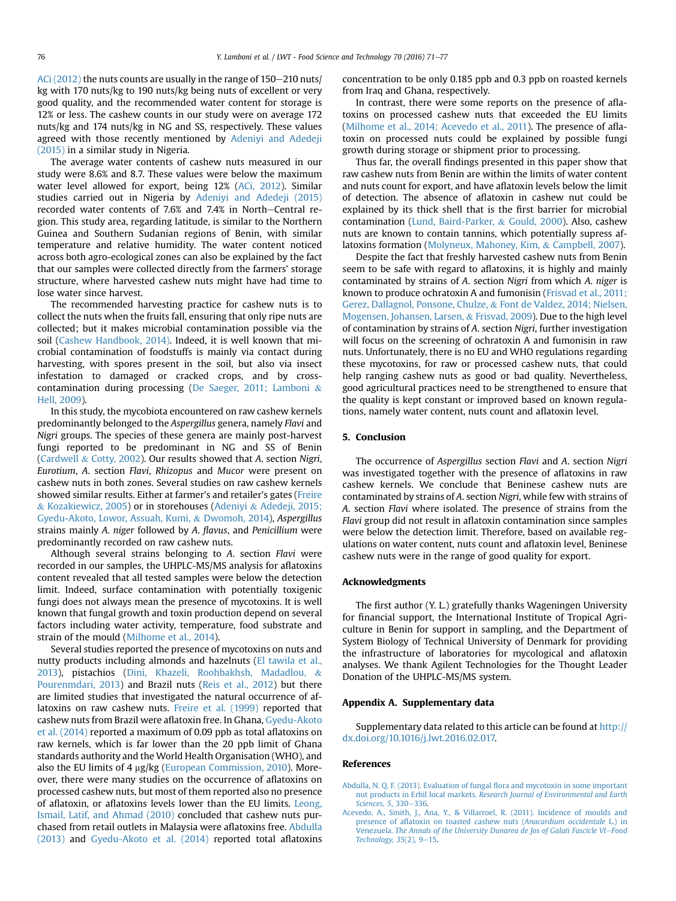<span id="page-6-0"></span>[ACi \(2012\)](#page-7-0) the nuts counts are usually in the range of  $150-210$  nuts/ kg with 170 nuts/kg to 190 nuts/kg being nuts of excellent or very good quality, and the recommended water content for storage is 12% or less. The cashew counts in our study were on average 172 nuts/kg and 174 nuts/kg in NG and SS, respectively. These values agreed with those recently mentioned by [Adeniyi and Adedeji](#page-7-0) [\(2015\)](#page-7-0) in a similar study in Nigeria.

The average water contents of cashew nuts measured in our study were 8.6% and 8.7. These values were below the maximum water level allowed for export, being 12% [\(ACi, 2012\)](#page-7-0). Similar studies carried out in Nigeria by [Adeniyi and Adedeji \(2015\)](#page-7-0) recorded water contents of 7.6% and 7.4% in North-Central region. This study area, regarding latitude, is similar to the Northern Guinea and Southern Sudanian regions of Benin, with similar temperature and relative humidity. The water content noticed across both agro-ecological zones can also be explained by the fact that our samples were collected directly from the farmers' storage structure, where harvested cashew nuts might have had time to lose water since harvest.

The recommended harvesting practice for cashew nuts is to collect the nuts when the fruits fall, ensuring that only ripe nuts are collected; but it makes microbial contamination possible via the soil [\(Cashew Handbook, 2014\).](#page-7-0) Indeed, it is well known that microbial contamination of foodstuffs is mainly via contact during harvesting, with spores present in the soil, but also via insect infestation to damaged or cracked crops, and by crosscontamination during processing ([De Saeger, 2011; Lamboni](#page-7-0) & [Hell, 2009\)](#page-7-0).

In this study, the mycobiota encountered on raw cashew kernels predominantly belonged to the Aspergillus genera, namely Flavi and Nigri groups. The species of these genera are mainly post-harvest fungi reported to be predominant in NG and SS of Benin ([Cardwell](#page-7-0) & [Cotty, 2002\)](#page-7-0). Our results showed that A. section Nigri, Eurotium, A. section Flavi, Rhizopus and Mucor were present on cashew nuts in both zones. Several studies on raw cashew kernels showed similar results. Either at farmer's and retailer's gates [\(Freire](#page-7-0) & [Kozakiewicz, 2005](#page-7-0)) or in storehouses [\(Adeniyi](#page-7-0) & [Adedeji, 2015;](#page-7-0) [Gyedu-Akoto, Lowor, Assuah, Kumi,](#page-7-0) & [Dwomoh, 2014](#page-7-0)), Aspergillus strains mainly A. niger followed by A. flavus, and Penicillium were predominantly recorded on raw cashew nuts.

Although several strains belonging to A. section Flavi were recorded in our samples, the UHPLC-MS/MS analysis for aflatoxins content revealed that all tested samples were below the detection limit. Indeed, surface contamination with potentially toxigenic fungi does not always mean the presence of mycotoxins. It is well known that fungal growth and toxin production depend on several factors including water activity, temperature, food substrate and strain of the mould ([Milhome et al., 2014](#page-7-0)).

Several studies reported the presence of mycotoxins on nuts and nutty products including almonds and hazelnuts ([El tawila et al.,](#page-7-0) [2013](#page-7-0)), pistachios ([Dini, Khazeli, Roohbakhsh, Madadlou,](#page-7-0) & [Pourenmdari, 2013\)](#page-7-0) and Brazil nuts ([Reis et al., 2012\)](#page-7-0) but there are limited studies that investigated the natural occurrence of aflatoxins on raw cashew nuts. [Freire et al. \(1999\)](#page-7-0) reported that cashew nuts from Brazil were aflatoxin free. In Ghana, [Gyedu-Akoto](#page-7-0) [et al. \(2014\)](#page-7-0) reported a maximum of 0.09 ppb as total aflatoxins on raw kernels, which is far lower than the 20 ppb limit of Ghana standards authority and the World Health Organisation (WHO), and also the EU limits of 4 µg/kg ([European Commission, 2010](#page-7-0)). Moreover, there were many studies on the occurrence of aflatoxins on processed cashew nuts, but most of them reported also no presence of aflatoxin, or aflatoxins levels lower than the EU limits. [Leong,](#page-7-0) [Ismail, Latif, and Ahmad \(2010\)](#page-7-0) concluded that cashew nuts purchased from retail outlets in Malaysia were aflatoxins free. Abdulla (2013) and [Gyedu-Akoto et al. \(2014\)](#page-7-0) reported total aflatoxins concentration to be only 0.185 ppb and 0.3 ppb on roasted kernels from Iraq and Ghana, respectively.

In contrast, there were some reports on the presence of aflatoxins on processed cashew nuts that exceeded the EU limits ([Milhome et al., 2014; Acevedo et al., 2011\)](#page-7-0). The presence of aflatoxin on processed nuts could be explained by possible fungi growth during storage or shipment prior to processing.

Thus far, the overall findings presented in this paper show that raw cashew nuts from Benin are within the limits of water content and nuts count for export, and have aflatoxin levels below the limit of detection. The absence of aflatoxin in cashew nut could be explained by its thick shell that is the first barrier for microbial contamination [\(Lund, Baird-Parker,](#page-7-0) & [Gould, 2000\)](#page-7-0). Also, cashew nuts are known to contain tannins, which potentially supress aflatoxins formation [\(Molyneux, Mahoney, Kim,](#page-7-0) & [Campbell, 2007](#page-7-0)).

Despite the fact that freshly harvested cashew nuts from Benin seem to be safe with regard to aflatoxins, it is highly and mainly contaminated by strains of A. section Nigri from which A. niger is known to produce ochratoxin A and fumonisin ([Frisvad et al., 2011;](#page-7-0) [Gerez, Dallagnol, Ponsone, Chulze,](#page-7-0) & [Font de Valdez, 2014; Nielsen,](#page-7-0) [Mogensen, Johansen, Larsen,](#page-7-0) & [Frisvad, 2009\)](#page-7-0). Due to the high level of contamination by strains of A. section Nigri, further investigation will focus on the screening of ochratoxin A and fumonisin in raw nuts. Unfortunately, there is no EU and WHO regulations regarding these mycotoxins, for raw or processed cashew nuts, that could help ranging cashew nuts as good or bad quality. Nevertheless, good agricultural practices need to be strengthened to ensure that the quality is kept constant or improved based on known regulations, namely water content, nuts count and aflatoxin level.

#### 5. Conclusion

The occurrence of Aspergillus section Flavi and A. section Nigri was investigated together with the presence of aflatoxins in raw cashew kernels. We conclude that Beninese cashew nuts are contaminated by strains of A. section Nigri, while few with strains of A. section Flavi where isolated. The presence of strains from the Flavi group did not result in aflatoxin contamination since samples were below the detection limit. Therefore, based on available regulations on water content, nuts count and aflatoxin level, Beninese cashew nuts were in the range of good quality for export.

## Acknowledgments

The first author (Y. L.) gratefully thanks Wageningen University for financial support, the International Institute of Tropical Agriculture in Benin for support in sampling, and the Department of System Biology of Technical University of Denmark for providing the infrastructure of laboratories for mycological and aflatoxin analyses. We thank Agilent Technologies for the Thought Leader Donation of the UHPLC-MS/MS system.

## Appendix A. Supplementary data

Supplementary data related to this article can be found at [http://](http://dx.doi.org/10.1016/j.lwt.2016.02.017) [dx.doi.org/10.1016/j.lwt.2016.02.017.](http://dx.doi.org/10.1016/j.lwt.2016.02.017)

### References

- [Abdulla, N. Q. F. \(2013\). Evaluation of fungal](http://refhub.elsevier.com/S0023-6438(16)30096-2/sref1) flora and mycotoxin in some important nut products in Erbil local markets. [Research Journal of Environmental and Earth](http://refhub.elsevier.com/S0023-6438(16)30096-2/sref1) [Sciences, 5](http://refhub.elsevier.com/S0023-6438(16)30096-2/sref1), 330-[336](http://refhub.elsevier.com/S0023-6438(16)30096-2/sref1).
- [Acevedo, A., Smith, J., Ana, Y., & Villarroel, R. \(2011\). Incidence of moulds and](http://refhub.elsevier.com/S0023-6438(16)30096-2/sref2) presence of afl[atoxin on toasted cashew nuts \(](http://refhub.elsevier.com/S0023-6438(16)30096-2/sref2)Anacardium occidentale L.) in Venezuela. [The Annals of the University Dunarea de Jos of Galati Fascicle VI](http://refhub.elsevier.com/S0023-6438(16)30096-2/sref2)-[Food](http://refhub.elsevier.com/S0023-6438(16)30096-2/sref2) Technology,  $35(2)$ ,  $9-15$ .